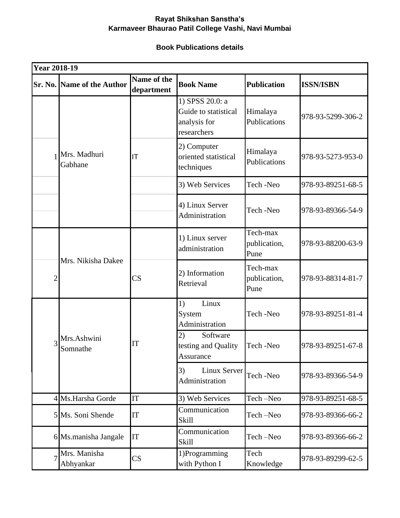## **Rayat Shikshan Sanstha's Karmaveer Bhaurao Patil College Vashi, Navi Mumbai**

## **Book Publications details**

| <b>Year 2018-19</b> |                                   |                           |                                                                        |                                  |                   |  |
|---------------------|-----------------------------------|---------------------------|------------------------------------------------------------------------|----------------------------------|-------------------|--|
|                     | <b>Sr. No. Name of the Author</b> | Name of the<br>department | <b>Book Name</b>                                                       | <b>Publication</b>               | <b>ISSN/ISBN</b>  |  |
|                     | Mrs. Madhuri<br>Gabhane           |                           | 1) SPSS 20.0: a<br>Guide to statistical<br>analysis for<br>researchers | Himalaya<br>Publications         | 978-93-5299-306-2 |  |
|                     |                                   | IT                        | 2) Computer<br>oriented statistical<br>techniques                      | Himalaya<br>Publications         | 978-93-5273-953-0 |  |
|                     |                                   |                           | 3) Web Services                                                        | Tech-Neo                         | 978-93-89251-68-5 |  |
|                     |                                   |                           | 4) Linux Server<br>Administration                                      | Tech-Neo                         | 978-93-89366-54-9 |  |
|                     | Mrs. Nikisha Dakee                |                           | 1) Linux server<br>administration                                      | Tech-max<br>publication,<br>Pune | 978-93-88200-63-9 |  |
| $\overline{2}$      |                                   | $\overline{\text{CS}}$    | 2) Information<br>Retrieval                                            | Tech-max<br>publication,<br>Pune | 978-93-88314-81-7 |  |
| 3                   | Mrs.Ashwini<br>Somnathe           | IT                        | Linux<br>1)<br>System<br>Administration                                | Tech-Neo                         | 978-93-89251-81-4 |  |
|                     |                                   |                           | 2)<br>Software<br>testing and Quality<br>Assurance                     | Tech-Neo                         | 978-93-89251-67-8 |  |
|                     |                                   |                           | Linux Server<br>3)<br>Administration                                   | Tech-Neo                         | 978-93-89366-54-9 |  |
|                     | 4 Ms. Harsha Gorde                | IT                        | 3) Web Services                                                        | Tech-Neo                         | 978-93-89251-68-5 |  |
|                     | 5 Ms. Soni Shende                 | IT                        | Communication<br>Skill                                                 | Tech-Neo                         | 978-93-89366-66-2 |  |
|                     | 6 Ms.manisha Jangale              | IT                        | Communication<br>Skill                                                 | Tech-Neo                         | 978-93-89366-66-2 |  |
|                     | Mrs. Manisha<br>Abhyankar         | $\overline{\text{CS}}$    | 1)Programming<br>with Python I                                         | Tech<br>Knowledge                | 978-93-89299-62-5 |  |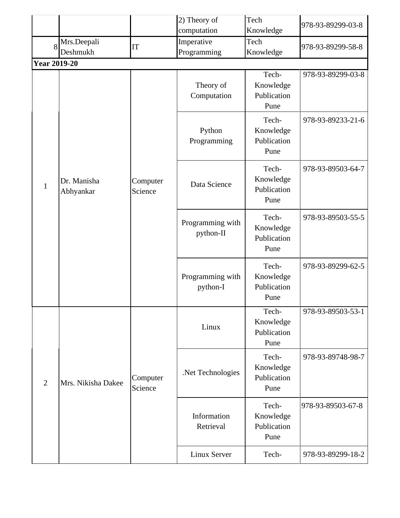|                     |                          |                     | 2) Theory of<br>computation   | Tech<br>Knowledge                         | 978-93-89299-03-8 |
|---------------------|--------------------------|---------------------|-------------------------------|-------------------------------------------|-------------------|
| 8                   | Mrs.Deepali<br>Deshmukh  | IT                  | Imperative<br>Programming     | Tech<br>Knowledge                         | 978-93-89299-58-8 |
| <b>Year 2019-20</b> |                          |                     |                               |                                           |                   |
| $\mathbf{1}$        | Dr. Manisha<br>Abhyankar | Computer<br>Science | Theory of<br>Computation      | Tech-<br>Knowledge<br>Publication<br>Pune | 978-93-89299-03-8 |
|                     |                          |                     | Python<br>Programming         | Tech-<br>Knowledge<br>Publication<br>Pune | 978-93-89233-21-6 |
|                     |                          |                     | Data Science                  | Tech-<br>Knowledge<br>Publication<br>Pune | 978-93-89503-64-7 |
|                     |                          |                     | Programming with<br>python-II | Tech-<br>Knowledge<br>Publication<br>Pune | 978-93-89503-55-5 |
|                     |                          |                     | Programming with<br>python-I  | Tech-<br>Knowledge<br>Publication<br>Pune | 978-93-89299-62-5 |
| $\overline{2}$      | Mrs. Nikisha Dakee       | Computer<br>Science | Linux                         | Tech-<br>Knowledge<br>Publication<br>Pune | 978-93-89503-53-1 |
|                     |                          |                     | .Net Technologies             | Tech-<br>Knowledge<br>Publication<br>Pune | 978-93-89748-98-7 |
|                     |                          |                     | Information<br>Retrieval      | Tech-<br>Knowledge<br>Publication<br>Pune | 978-93-89503-67-8 |
|                     |                          |                     | Linux Server                  | Tech-                                     | 978-93-89299-18-2 |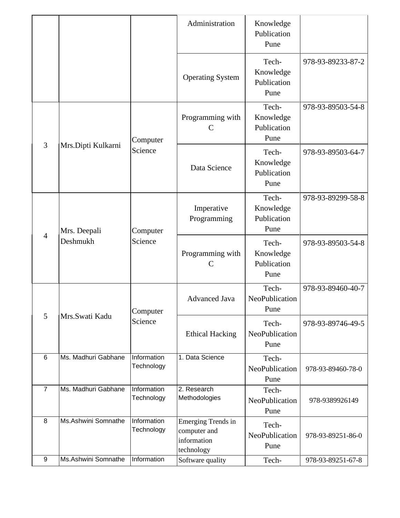|                 |                          |                           | Administration                                                         | Knowledge<br>Publication<br>Pune          |                   |
|-----------------|--------------------------|---------------------------|------------------------------------------------------------------------|-------------------------------------------|-------------------|
|                 |                          |                           | <b>Operating System</b>                                                | Tech-<br>Knowledge<br>Publication<br>Pune | 978-93-89233-87-2 |
| 3               | Mrs.Dipti Kulkarni       | Computer<br>Science       | Programming with<br>$\mathcal{C}$                                      | Tech-<br>Knowledge<br>Publication<br>Pune | 978-93-89503-54-8 |
|                 |                          |                           | Data Science                                                           | Tech-<br>Knowledge<br>Publication<br>Pune | 978-93-89503-64-7 |
| $\overline{4}$  | Mrs. Deepali<br>Deshmukh | Computer<br>Science       | Imperative<br>Programming                                              | Tech-<br>Knowledge<br>Publication<br>Pune | 978-93-89299-58-8 |
|                 |                          |                           | Programming with<br>$\mathsf{C}$                                       | Tech-<br>Knowledge<br>Publication<br>Pune | 978-93-89503-54-8 |
| 5               | Mrs.Swati Kadu           | Computer<br>Science       | <b>Advanced Java</b>                                                   | Tech-<br>NeoPublication<br>Pune           | 978-93-89460-40-7 |
|                 |                          |                           | <b>Ethical Hacking</b>                                                 | Tech-<br>NeoPublication<br>Pune           | 978-93-89746-49-5 |
| $6\phantom{1}6$ | Ms. Madhuri Gabhane      | Information<br>Technology | 1. Data Science                                                        | Tech-<br>NeoPublication<br>Pune           | 978-93-89460-78-0 |
| $\overline{7}$  | Ms. Madhuri Gabhane      | Information<br>Technology | 2. Research<br>Methodologies                                           | Tech-<br>NeoPublication<br>Pune           | 978-9389926149    |
| 8               | Ms.Ashwini Somnathe      | Information<br>Technology | <b>Emerging Trends in</b><br>computer and<br>information<br>technology | Tech-<br>NeoPublication<br>Pune           | 978-93-89251-86-0 |
| 9               | Ms.Ashwini Somnathe      | Information               | Software quality                                                       | Tech-                                     | 978-93-89251-67-8 |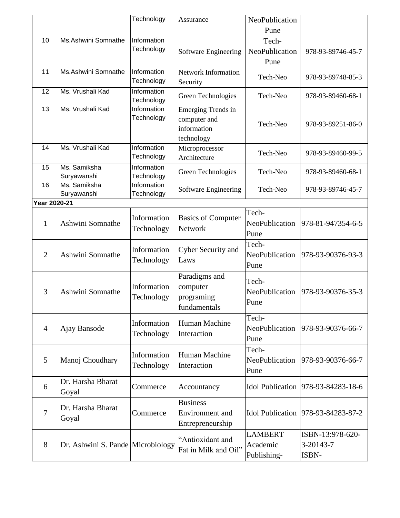|                |                                   | Technology                | Assurance                      | NeoPublication |                                    |
|----------------|-----------------------------------|---------------------------|--------------------------------|----------------|------------------------------------|
|                |                                   |                           |                                | Pune           |                                    |
| 10             | Ms.Ashwini Somnathe               | Information               |                                | Tech-          |                                    |
|                |                                   | Technology                | Software Engineering           | NeoPublication | 978-93-89746-45-7                  |
|                |                                   |                           |                                | Pune           |                                    |
| 11             | Ms.Ashwini Somnathe               | Information               | Network Information            | Tech-Neo       | 978-93-89748-85-3                  |
|                |                                   | Technology                | Security                       |                |                                    |
| 12             | Ms. Vrushali Kad                  | Information<br>Technology | Green Technologies             | Tech-Neo       | 978-93-89460-68-1                  |
| 13             | Ms. Vrushali Kad                  | Information               | <b>Emerging Trends in</b>      |                |                                    |
|                |                                   | Technology                | computer and                   | Tech-Neo       | 978-93-89251-86-0                  |
|                |                                   |                           | information                    |                |                                    |
| 14             | Ms. Vrushali Kad                  | Information               | technology                     |                |                                    |
|                |                                   | Technology                | Microprocessor<br>Architecture | Tech-Neo       | 978-93-89460-99-5                  |
| 15             | Ms. Samiksha                      | Information               |                                |                |                                    |
|                | Suryawanshi                       | Technology                | Green Technologies             | Tech-Neo       | 978-93-89460-68-1                  |
| 16             | Ms. Samiksha                      | Information               | Software Engineering           | Tech-Neo       | 978-93-89746-45-7                  |
|                | Suryawanshi                       | Technology                |                                |                |                                    |
| Year 2020-21   |                                   |                           |                                |                |                                    |
|                |                                   | Information               | <b>Basics of Computer</b>      | Tech-          |                                    |
| $\mathbf{1}$   | Ashwini Somnathe                  | Technology                | Network                        | NeoPublication | 978-81-947354-6-5                  |
|                |                                   |                           |                                | Pune           |                                    |
|                |                                   | Information               | Cyber Security and             | Tech-          |                                    |
| $\overline{2}$ | Ashwini Somnathe                  | Technology                | Laws                           | NeoPublication | 978-93-90376-93-3                  |
|                |                                   |                           |                                | Pune           |                                    |
|                |                                   |                           | Paradigms and                  | Tech-          |                                    |
| 3              | Ashwini Somnathe                  | Information               | computer                       | NeoPublication | 978-93-90376-35-3                  |
|                |                                   | Technology                | programing                     | Pune           |                                    |
|                |                                   |                           | fundamentals                   |                |                                    |
|                |                                   | Information               | Human Machine                  | Tech-          |                                    |
| $\overline{4}$ | Ajay Bansode                      | Technology                | Interaction                    | NeoPublication | 978-93-90376-66-7                  |
|                |                                   |                           |                                | Pune           |                                    |
|                |                                   | Information               | Human Machine                  | Tech-          |                                    |
| 5              | Manoj Choudhary                   | Technology                | Interaction                    | NeoPublication | 978-93-90376-66-7                  |
|                |                                   |                           |                                | Pune           |                                    |
| 6              | Dr. Harsha Bharat                 | Commerce                  | Accountancy                    |                | Idol Publication 978-93-84283-18-6 |
|                | Goyal                             |                           |                                |                |                                    |
|                | Dr. Harsha Bharat                 |                           | <b>Business</b>                |                |                                    |
| $\tau$         | Goyal                             | Commerce                  | Environment and                |                | Idol Publication 978-93-84283-87-2 |
|                |                                   |                           | Entrepreneurship               |                |                                    |
|                |                                   |                           | "Antioxidant and               | <b>LAMBERT</b> | ISBN-13:978-620-                   |
| 8              | Dr. Ashwini S. Pande Microbiology |                           | Fat in Milk and Oil"           | Academic       | 3-20143-7                          |
|                |                                   |                           |                                | Publishing-    | ISBN-                              |